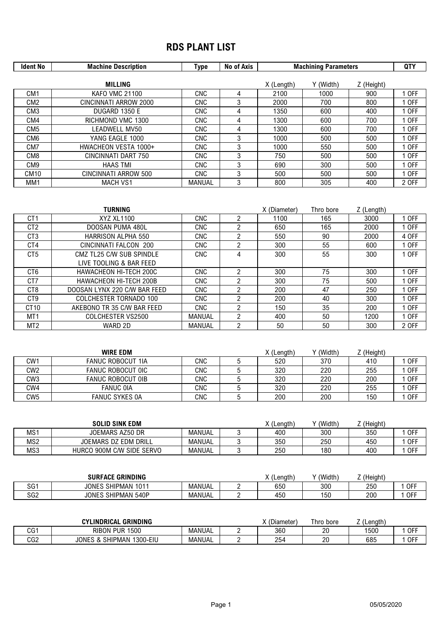## **RDS PLANT LIST**

| <b>Ident No</b>  | <b>Machine Description</b> | Type       | No of Axis     | <b>Machining Parameters</b> | <b>QTY</b> |            |       |
|------------------|----------------------------|------------|----------------|-----------------------------|------------|------------|-------|
|                  |                            |            |                |                             |            |            |       |
|                  | <b>MILLING</b>             |            |                | X (Length)                  | Y (Width)  | Z (Height) |       |
| CM <sub>1</sub>  | <b>KAFO VMC 21100</b>      | <b>CNC</b> | 4              | 2100                        | 1000       | 900        | 1 OFF |
| CM <sub>2</sub>  | CINCINNATI ARROW 2000      | <b>CNC</b> | 3              | 2000                        | 700        | 800        | 1 OFF |
| CM <sub>3</sub>  | DUGARD 1350 E              | <b>CNC</b> | 4              | 1350                        | 600        | 400        | 1 OFF |
| CM4              | RICHMOND VMC 1300          | <b>CNC</b> | 4              | 1300                        | 600        | 700        | 1 OFF |
| CM <sub>5</sub>  | LEADWELL MV50              | <b>CNC</b> | 4              | 1300                        | 600        | 700        | 1 OFF |
| CM6              | YANG EAGLE 1000            | <b>CNC</b> | 3              | 1000                        | 500        | 500        | 1 OFF |
| CM7              | HWACHEON VESTA 1000+       | <b>CNC</b> | 3              | 1000                        | 550        | 500        | 1 OFF |
| CM <sub>8</sub>  | CINCINNATI DART 750        | <b>CNC</b> | 3              | 750                         | 500        | 500        | 1 OFF |
| CM9              | <b>HAAS TMI</b>            | <b>CNC</b> | 3              | 690                         | 300        | 500        | 1 OFF |
| CM <sub>10</sub> | CINCINNATI ARROW 500       | <b>CNC</b> | 3              | 500                         | 500        | 500        | 1 OFF |
| MM1              | <b>MACH VS1</b>            | MANUAL     | 3              | 800                         | 305        | 400        | 2 OFF |
|                  |                            |            |                |                             |            |            |       |
|                  |                            |            |                |                             |            |            |       |
|                  | TURNING                    |            |                | X (Diameter)                | Thro bore  | Z (Length) |       |
| CT <sub>1</sub>  | XYZ XL1100                 | <b>CNC</b> | $\overline{2}$ | 1100                        | 165        | 3000       | 1 OFF |
| CT <sub>2</sub>  | DOOSAN PUMA 480L           | <b>CNC</b> | $\overline{2}$ | 650                         | 165        | 2000       | 1 OFF |
| CT <sub>3</sub>  | <b>HARRISON ALPHA 550</b>  | <b>CNC</b> | $\overline{2}$ | 550                         | 90         | 2000       | 4 OFF |
| CT4              | CINCINNATI FALCON 200      | <b>CNC</b> | $\overline{2}$ | 300                         | 55         | 600        | 1 OFF |
| CT <sub>5</sub>  | CMZ TL25 C/W SUB SPINDLE   | <b>CNC</b> | 4              | 300                         | 55         | 300        | 1 OFF |
|                  | LIVE TOOLING & BAR FEED    |            |                |                             |            |            |       |

| CT <sub>9</sub>  | <b>COLCHESTER TORNADO 100</b> | <b>CNC</b>    | ◠ | 200        | 40      | 300        | <b>OFF</b> |
|------------------|-------------------------------|---------------|---|------------|---------|------------|------------|
| CT <sub>10</sub> | AKEBONO TR 35 C/W BAR FEED    | CNC           |   | 150        | 35      | 200        | <b>OFF</b> |
| MT <sub>1</sub>  | COLCHESTER VS2500             | <b>MANUAL</b> | ∩ | 400        | 50      | 1200       | <b>OFF</b> |
| MT <sub>2</sub>  | WARD 2D                       | <b>MANUAL</b> | ≘ | 50         | 50      | 300        | 2 OFF      |
|                  |                               |               |   |            |         |            |            |
|                  |                               |               |   |            |         |            |            |
|                  |                               |               |   |            |         |            |            |
|                  | <b>WIRE EDM</b>               |               |   | X (Length) | (Width) | Z (Height) |            |
| CW <sub>1</sub>  | <b>FANUC ROBOCUT 1IA</b>      | <b>CNC</b>    | 5 | 520        | 370     | 410        | <b>OFF</b> |
| CW <sub>2</sub>  | FANUC ROBOCUT OIC             | CNC           | 5 | 320        | 220     | 255        | <b>OFF</b> |
| CW <sub>3</sub>  | <b>FANUC ROBOCUT OIB</b>      | <b>CNC</b>    | 5 | 320        | 220     | 200        | <b>OFF</b> |

CT6 HAWACHEON HI-TECH 200C CNC 2 300 75 300 1 OFF<br>CT7 HAWACHEON HI-TECH 200B CNC 2 300 75 500 1 OFF CT7 HAWACHEON HI-TECH 200B CNC 2 300 75 500 1 OFF DOOSAN LYNX 220 C/W BAR FEED CNC 2 200 47 250

|     | <b>SOLID SINK EDM</b>     |        | X (Length) | (Width) | (Height) |       |
|-----|---------------------------|--------|------------|---------|----------|-------|
| MS1 | JOEMARS AZ50 DR           | MANUAL | 400        | 300     | 350      | . OFF |
| MS2 | JOEMARS DZ EDM DRILL      | MANUAL | 350        | 250     | 450      | , OFF |
| MS3 | HURCO 900M C/W SIDE SERVO | MANUAL | 250        | 180     | 400      | . OFF |

CW5 FANUC SYKES 0A CNC 5 200 200 150 10FF

|                 | <b>GRINDING</b><br>SURFACE          |        | X (Length) | (Width, | (Height) |     |
|-----------------|-------------------------------------|--------|------------|---------|----------|-----|
| co1<br>וטכ      | <b>SHIPMAN</b><br>JONES<br>101<br>∪ | MANUAL | 650        | 300     | 250      | 0FF |
| SG <sub>2</sub> | SHIPMAN 540P<br>JONF <sup>~</sup>   | MANUAL | 450        | 150     | 200      | 0FF |

|     | <b>GRINDING</b><br><b>CYLINDRICAL</b> |               | (Diameter, | Thro bore | .∟enath`<br>_ |            |
|-----|---------------------------------------|---------------|------------|-----------|---------------|------------|
| CG1 | 1500<br>RIBON<br><b>PUR</b>           | MANUAL        | 360        | 20        | 1500          | <b>OFF</b> |
| CG2 | SHIPMAN<br>JONES &<br>1300-EIU        | <b>MANUAL</b> | 254        | 20        | 685           | . OFF      |